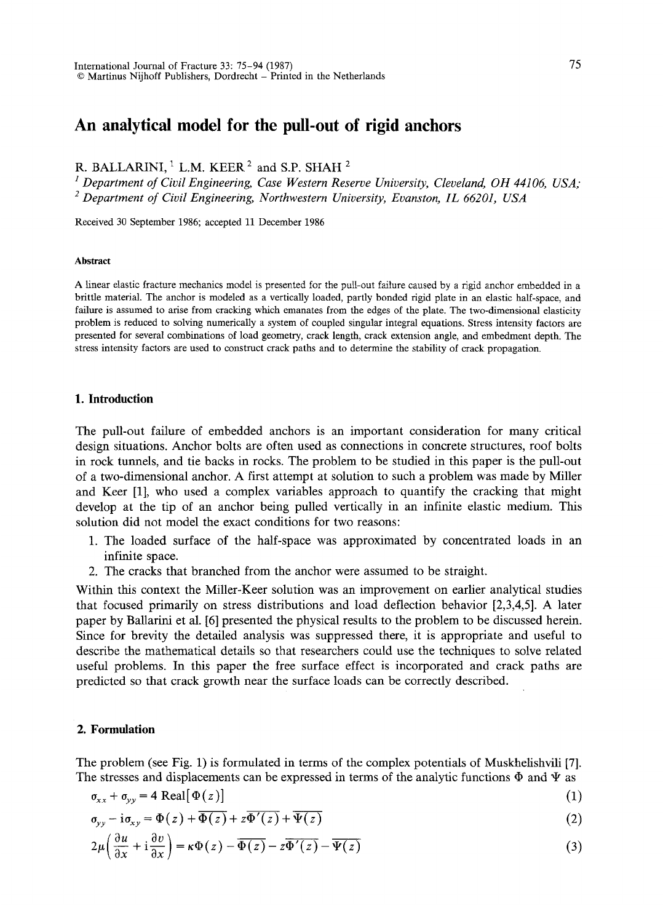# **An analytical model for the pull-out of rigid anchors**

R. BALLARINI,  $1$  L.M. KEER  $2$  and S.P. SHAH  $2$ 

<sup>1</sup> Department of Civil Engineering, Case Western Reserve University, Cleveland, OH 44106, USA; *2 Department of Civil Engineering, Northwestern University, Evanston, IL 66201, USA* 

Received 30 September 1986; accepted 11 December 1986

#### **Abstract**

A hnear elastic fracture mechanics model is presented for the pull-out failure caused by a rigid anchor embedded in a brittle material. The anchor is modeled as a vertically loaded, partly bonded rigid plate in an elastic half-space, and failure is assumed to arise from cracking which emanates from the edges of the plate. The two-dimensional elasticity problem is reduced to solving numerically a system of coupled singular integral equations. Stress intensity factors are presented for several combinations of load geometry, crack length, crack extension angle, and embedment depth. The stress intensity factors are used to construct crack paths and to determine the stability of crack propagation.

### **1. Introduction**

The pull-out failure of embedded anchors is an important consideration for many critical design situations. Anchor bolts are often used as connections in concrete structures, roof bolts in rock tunnels, and tie backs in rocks. The problem to be studied in this paper is the pull-out of a two-dimensional anchor. A first attempt at solution to such a problem was made by Miller and Keer [1], who used a complex variables approach to quantify the cracking that might develop at the tip of an anchor being pulled vertically in an infinite elastic medium. This solution did not model the exact conditions for two reasons:

- 1. The loaded surface of the half-space was approximated by concentrated loads in an infinite space.
- 2. The cracks that branched from the anchor were assumed to be straight.

Within this context the Miller-Keer solution was an improvement on earlier analytical studies that focused primarily on stress distributions and load deflection behavior [2,3,4,5]. A later paper by Ballarini et al. [6] presented the physical results to the problem to be discussed herein. Since for brevity the detailed analysis was suppressed there, it is appropriate and useful to describe the mathematical details so that researchers could use the techniques to solve related useful problems. In this paper the free surface effect is incorporated and crack paths are predicted so that crack growth near the surface loads can be correctly described.

#### **2. Formulation**

The problem (see Fig. 1) is formulated in terms of the complex potentials of Muskhelishvili [7]. The stresses and displacements can be expressed in terms of the analytic functions  $\Phi$  and  $\Psi$  as

$$
\sigma_{xx} + \sigma_{yy} = 4 \text{ Real}[\Phi(z)] \tag{1}
$$

$$
\sigma_{yy} - i\sigma_{xy} = \Phi(z) + \overline{\Phi(z)} + z\overline{\Phi'(z)} + \overline{\Psi(z)}
$$
 (2)

$$
2\mu\left(\frac{\partial u}{\partial x} + i\frac{\partial v}{\partial x}\right) = \kappa\Phi(z) - \overline{\Phi(z)} - z\overline{\Phi'(z)} - \overline{\Psi(z)}
$$
(3)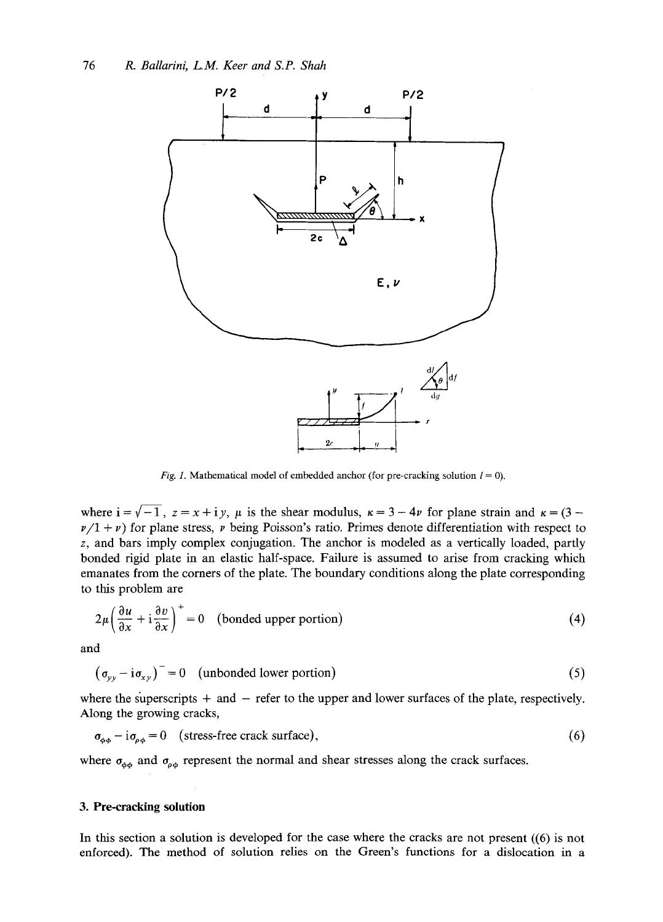

*Fig. 1.* Mathematical model of embedded anchor (for pre-cracking solution  $l = 0$ ).

where  $i = \sqrt{-1}$ ,  $z = x + i y$ ,  $\mu$  is the shear modulus,  $\kappa = 3 - 4\nu$  for plane strain and  $\kappa = (3 - 4\nu)$  $\nu/1 + \nu$ ) for plane stress,  $\nu$  being Poisson's ratio. Primes denote differentiation with respect to z, and bars imply complex conjugation. The anchor is modeled as a vertically loaded, partly bonded rigid plate in an elastic half-space. Failure is assumed to arise from cracking which emanates from the comers of the plate. The boundary conditions along the plate corresponding to this problem are

$$
2\mu \left(\frac{\partial u}{\partial x} + i \frac{\partial v}{\partial x}\right)^{+} = 0 \quad \text{(bonded upper portion)}\tag{4}
$$

and

 $(\sigma_{\nu\nu} - i\sigma_{\nu\nu})^{\dagger} = 0$  (unbonded lower portion) (5)

where the superscripts  $+$  and  $-$  refer to the upper and lower surfaces of the plate, respectively. Along the growing cracks,

 $\sigma_{\phi\phi} - i\sigma_{\rho\phi} = 0$  (stress-free crack surface), (6)

where  $\sigma_{\phi\phi}$  and  $\sigma_{\rho\phi}$  represent the normal and shear stresses along the crack surfaces.

## **3. Pre-cracking solution**

In this section a solution is developed for the case where the cracks are not present ((6) is not enforced). The method of solution relies on the Green's functions for a dislocation in a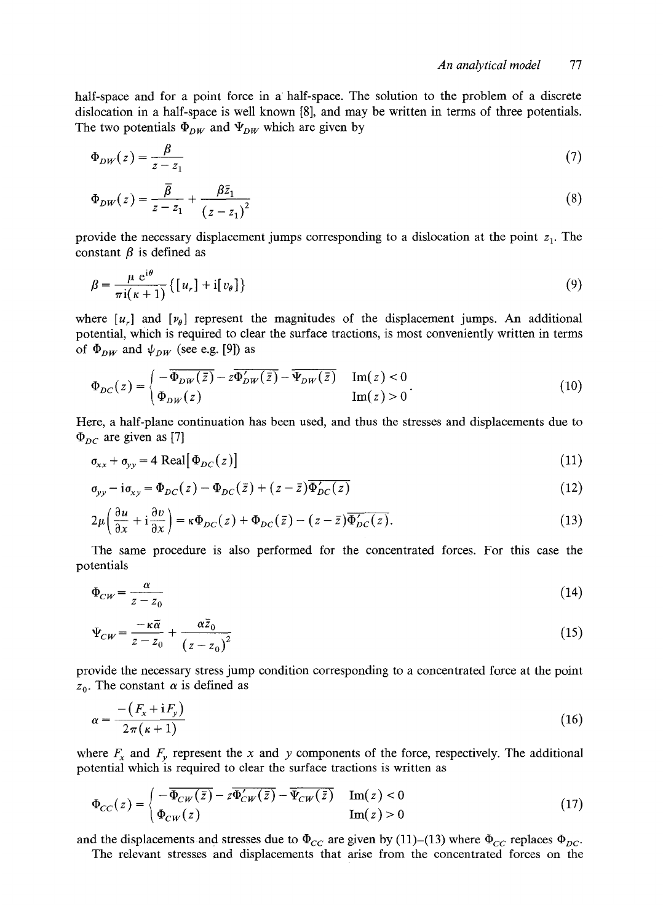half-space and for a point force in a half-space. The solution to the problem of a discrete dislocation in a half-space is well known [8], and may be written in terms of three potentials. The two potentials  $\Phi_{DW}$  and  $\Psi_{DW}$  which are given by

$$
\Phi_{DW}(z) = \frac{\beta}{z - z_1} \tag{7}
$$

$$
\Phi_{DW}(z) = \frac{\overline{\beta}}{z - z_1} + \frac{\beta \overline{z}_1}{(z - z_1)^2} \tag{8}
$$

provide the necessary displacement jumps corresponding to a dislocation at the point  $z_1$ . The constant  $\beta$  is defined as

$$
\beta = \frac{\mu e^{i\theta}}{\pi i(\kappa + 1)} \{ [u_r] + i[v_\theta] \}
$$
\n(9)

where  $[u_r]$  and  $[v_\theta]$  represent the magnitudes of the displacement jumps. An additional potential, which is required to clear the surface tractions, is most conveniently written in terms of  $\Phi_{DW}$  and  $\psi_{DW}$  (see e.g. [9]) as

$$
\Phi_{DC}(z) = \begin{cases}\n-\overline{\Phi_{DW}(\bar{z})} - z\overline{\Phi'_{DW}(\bar{z})} - \overline{\Psi_{DW}(\bar{z})} & \text{Im}(z) < 0 \\
\Phi_{DW}(z) & \text{Im}(z) > 0\n\end{cases}
$$
\n(10)

Here, a half-plane continuation has been used, and thus the stresses and displacements due to  $\Phi_{DC}$  are given as [7]

$$
\sigma_{xx} + \sigma_{yy} = 4 \text{ Real}[\Phi_{DC}(z)] \tag{11}
$$

$$
\sigma_{yy} - i\sigma_{xy} = \Phi_{DC}(z) - \Phi_{DC}(\bar{z}) + (z - \bar{z})\overline{\Phi_{DC}'(z)}
$$
\n(12)

$$
2\mu\left(\frac{\partial u}{\partial x} + i\frac{\partial v}{\partial x}\right) = \kappa \Phi_{DC}(z) + \Phi_{DC}(\bar{z}) - (z - \bar{z})\overline{\Phi'_{DC}(z)}.
$$
\n(13)

The same procedure is also performed for the concentrated forces. For this case the potentials

$$
\Phi_{CW} = \frac{\alpha}{z - z_0} \tag{14}
$$

$$
\Psi_{CW} = \frac{-\kappa \tilde{\alpha}}{z - z_0} + \frac{\alpha \bar{z}_0}{\left(z - z_0\right)^2} \tag{15}
$$

provide the necessary stress jump condition corresponding to a concentrated force at the point  $z_0$ . The constant  $\alpha$  is defined as

$$
\alpha = \frac{-\left(F_x + \mathrm{i}F_y\right)}{2\pi\left(\kappa + 1\right)}\tag{16}
$$

where  $F_x$  and  $F_y$  represent the x and y components of the force, respectively. The additional potential which is required to clear the surface tractions is written as

$$
\Phi_{CC}(z) = \begin{cases}\n-\overline{\Phi_{CW}(\bar{z})} - z\overline{\Phi_{CW}'(\bar{z})} - \overline{\Psi_{CW}(\bar{z})} & \text{Im}(z) < 0 \\
\Phi_{CW}(z) & \text{Im}(z) > 0\n\end{cases}
$$
\n(17)

and the displacements and stresses due to  $\Phi_{CC}$  are given by (11)–(13) where  $\Phi_{CC}$  replaces  $\Phi_{DC}$ .

The relevant stresses and displacements that arise from the concentrated forces on the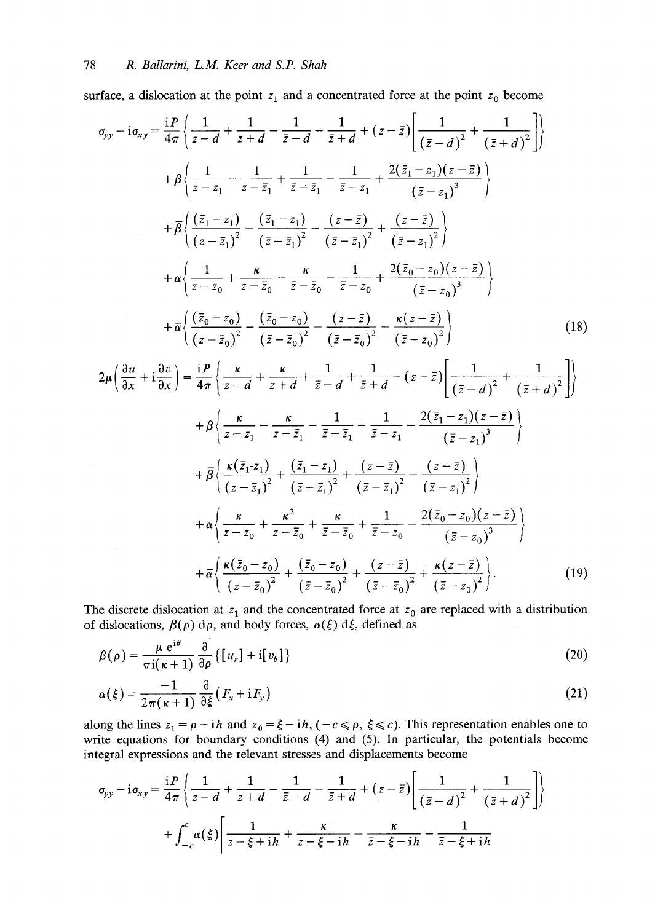surface, a dislocation at the point  $z_1$  and a concentrated force at the point  $z_0$  become

$$
\sigma_{yy} - i\sigma_{xy} = \frac{iP}{4\pi} \left\{ \frac{1}{z-d} + \frac{1}{z+d} - \frac{1}{\overline{z}-d} - \frac{1}{\overline{z}+d} + (z-\overline{z}) \left[ \frac{1}{(\overline{z}-d)^2} + \frac{1}{(\overline{z}+d)^2} \right] \right\}
$$
  
+  $\beta \left\{ \frac{1}{z-z_1} - \frac{1}{z-\overline{z}_1} + \frac{1}{\overline{z}-\overline{z}_1} - \frac{1}{\overline{z}-z_1} + \frac{2(\overline{z}_1-z_1)(z-\overline{z})}{(\overline{z}-z_1)^3} \right\}$   
+  $\beta \left\{ \frac{(\overline{z}_1-z_1)}{(\overline{z}-\overline{z}_1)^2} - \frac{(\overline{z}_1-z_1)}{(\overline{z}-\overline{z}_1)^2} - \frac{(z-\overline{z})}{(\overline{z}-\overline{z}_1)^2} + \frac{(z-\overline{z})}{(\overline{z}-z_1)^2} \right\}$   
+  $\alpha \left\{ \frac{1}{z-z_0} + \frac{\kappa}{z-\overline{z}_0} - \frac{\kappa}{\overline{z}-\overline{z}_0} - \frac{1}{\overline{z}-z_0} + \frac{2(\overline{z}_0-z_0)(z-\overline{z})}{(\overline{z}-z_0)^3} \right\}$   
+  $\overline{\alpha} \left\{ \frac{(\overline{z}_0-z_0)}{(\overline{z}-\overline{z}_0)^2} - \frac{(\overline{z}_0-z_0)}{(\overline{z}-\overline{z}_0)^2} - \frac{\kappa(z-\overline{z})}{(\overline{z}-z_0)^2} \right\}$   
+  $\beta \left\{ \frac{\kappa}{\alpha} + i\frac{\partial v}{\partial x} \right\} = \frac{iP}{4\pi} \left\{ \frac{\kappa}{z-d} + \frac{\kappa}{z+d} + \frac{1}{\overline{z}-d} + \frac{1}{\overline{z}+d} - (z-\overline{z}) \left[ \frac{1}{(\overline{z}-d)^2} + \frac{1}{(\overline{z}+d)^2} \right] \right\}$   
+  $\beta \left\{ \frac{\kappa}{z$ 

The discrete dislocation at  $z_1$  and the concentrated force at  $z_0$  are replaced with a distribution of dislocations,  $\beta(\rho)$  d $\rho$ , and body forces,  $\alpha(\xi)$  d $\xi$ , defined as

$$
\beta(\rho) = \frac{\mu e^{i\theta}}{\pi i(\kappa + 1)} \frac{\partial}{\partial \rho} \{ [u_r] + i[v_\theta] \}
$$
\n(20)

$$
\alpha(\xi) = \frac{-1}{2\pi(\kappa+1)} \frac{\partial}{\partial \xi} \left( F_x + iF_y \right) \tag{21}
$$

along the lines  $z_1 = \rho - i\hbar$  and  $z_0 = \xi - i\hbar$ ,  $(-c \le \rho, \xi \le c)$ . This representation enables one to write equations for boundary conditions (4) and (5). In particular, the potentials become integral expressions and the relevant stresses and displacements become

$$
\sigma_{yy} - i\sigma_{xy} = \frac{iP}{4\pi} \left\{ \frac{1}{z-d} + \frac{1}{z+d} - \frac{1}{\bar{z}-d} - \frac{1}{\bar{z}+d} + (z-\bar{z}) \left[ \frac{1}{(\bar{z}-d)^2} + \frac{1}{(\bar{z}+d)^2} \right] \right\}
$$

$$
+ \int_{-c}^{c} \alpha(\xi) \left[ \frac{1}{z-\xi+ih} + \frac{\kappa}{z-\xi-ih} - \frac{\kappa}{\bar{z}-\xi-ih} - \frac{1}{\bar{z}-\xi+ih} \right]
$$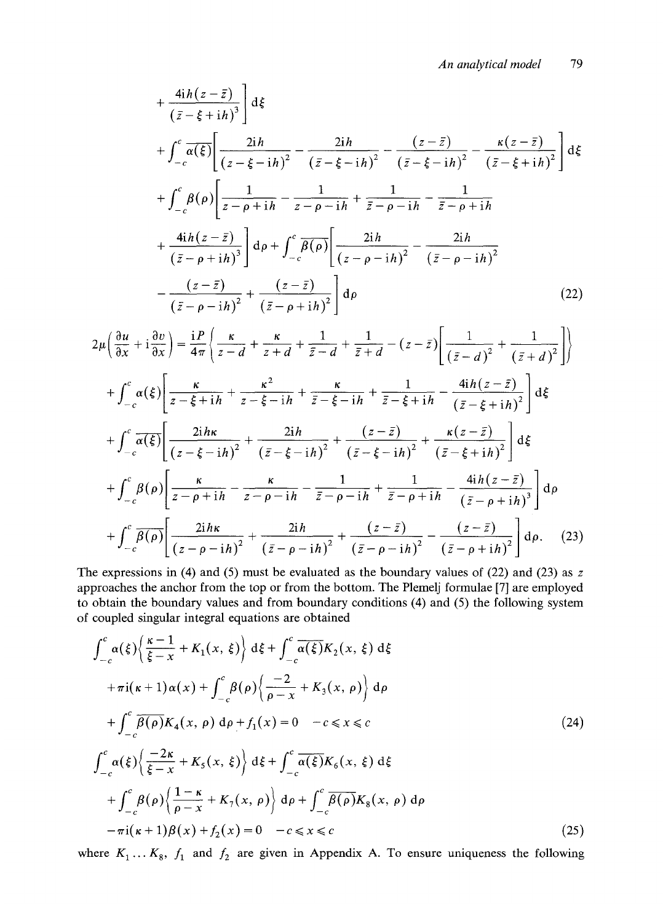$$
+\frac{4ih(z-\bar{z})}{(\bar{z}-\xi+ih)^3} d\xi
$$
  
+ 
$$
\int_{-c}^{c} \overline{\alpha(\xi)} \left[ \frac{2ih}{(z-\xi-ih)^2} - \frac{2ih}{(\bar{z}-\xi-ih)^2} - \frac{(z-\bar{z})}{(\bar{z}-\xi-ih)^2} - \frac{\kappa(z-\bar{z})}{(\bar{z}-\xi+ih)^2} \right] d\xi
$$
  
+ 
$$
\int_{-c}^{c} \beta(\rho) \left[ \frac{1}{z-\rho+ih} - \frac{1}{z-\rho-ih} + \frac{1}{\bar{z}-\rho-ih} - \frac{1}{\bar{z}-\rho+ih} \right]
$$
  
+ 
$$
\frac{4ih(z-\bar{z})}{(\bar{z}-\rho+ih)^3} d\rho + \int_{-c}^{c} \overline{\beta(\rho)} \left[ \frac{2ih}{(z-\rho-ih)^2} - \frac{2ih}{(\bar{z}-\rho-ih)^2} \right]
$$
  
- 
$$
\frac{(z-\bar{z})}{(\bar{z}-\rho-ih)^2} + \frac{(z-\bar{z})}{(\bar{z}-\rho+ih)^2} d\rho
$$
 (22)

$$
2\mu \left(\frac{\partial u}{\partial x} + i\frac{\partial v}{\partial x}\right) = \frac{iP}{4\pi} \left\{\frac{\kappa}{z-d} + \frac{\kappa}{z+d} + \frac{1}{\bar{z}-d} + \frac{1}{\bar{z}+d} - (z-\bar{z}) \left[\frac{1}{(\bar{z}-d)^2} + \frac{1}{(\bar{z}+d)^2}\right]\right\}
$$
  
+ 
$$
\int_{-c}^{c} \alpha(\xi) \left[\frac{\kappa}{z-\xi+ih} + \frac{\kappa^2}{z-\xi-ih} + \frac{\kappa}{\bar{z}-\xi-ih} + \frac{1}{\bar{z}-\xi+ih} - \frac{4ih(z-\bar{z})}{(\bar{z}-\xi+ih)^2}\right] d\xi
$$
  
+ 
$$
\int_{-c}^{c} \overline{\alpha(\xi)} \left[\frac{2ih\kappa}{(z-\xi-ih)^2} + \frac{2ih}{(\bar{z}-\xi-ih)^2} + \frac{(\bar{z}-\bar{z})}{(\bar{z}-\xi-ih)^2} + \frac{\kappa(z-\bar{z})}{(\bar{z}-\xi+ih)^2}\right] d\xi
$$
  
+ 
$$
\int_{-c}^{c} \beta(\rho) \left[\frac{\kappa}{z-\rho+ih} - \frac{\kappa}{z-\rho-ih} - \frac{1}{\bar{z}-\rho-ih} + \frac{1}{\bar{z}-\rho+ih} - \frac{4ih(z-\bar{z})}{(\bar{z}-\rho+ih)^3}\right] d\rho
$$
  
+ 
$$
\int_{-c}^{c} \overline{\beta(\rho)} \left[\frac{2ih\kappa}{(z-\rho-ih)^2} + \frac{2ih}{(\bar{z}-\rho-ih)^2} + \frac{(z-\bar{z})}{(\bar{z}-\rho-ih)^2} - \frac{(z-\bar{z})}{(\bar{z}-\rho+ih)^2}\right] d\rho.
$$
(23)

The expressions in (4) and (5) must be evaluated as the boundary values of (22) and (23) as  $z$ approaches the anchor from the top or from the bottom. The Plemelj formulae [7] are employed to obtain the boundary values and from boundary conditions (4) and (5) the following system of coupled singular integral equations are obtained

$$
\int_{-c}^{c} \alpha(\xi) \left\{ \frac{\kappa - 1}{\xi - x} + K_1(x, \xi) \right\} d\xi + \int_{-c}^{c} \overline{\alpha(\xi)} K_2(x, \xi) d\xi
$$
  
+  $\pi i(\kappa + 1) \alpha(x) + \int_{-c}^{c} \beta(\rho) \left\{ \frac{-2}{\rho - x} + K_3(x, \rho) \right\} d\rho$   
+  $\int_{-c}^{c} \overline{\beta(\rho)} K_4(x, \rho) d\rho + f_1(x) = 0 \quad -c \le x \le c$  (24)  

$$
\int_{-c}^{c} \alpha(\xi) \left\{ \frac{-2\kappa}{\xi - x} + K_5(x, \xi) \right\} d\xi + \int_{-c}^{c} \overline{\alpha(\xi)} K_6(x, \xi) d\xi
$$
  
+  $\int_{-c}^{c} \beta(\rho) \left\{ \frac{1 - \kappa}{\rho - x} + K_7(x, \rho) \right\} d\rho + \int_{-c}^{c} \overline{\beta(\rho)} K_8(x, \rho) d\rho$   
-  $\pi i(\kappa + 1) \beta(x) + f_2(x) = 0 \quad -c \le x \le c$  (25)

where  $K_1 \ldots K_8$ ,  $f_1$  and  $f_2$  are given in Appendix A. To ensure uniqueness the following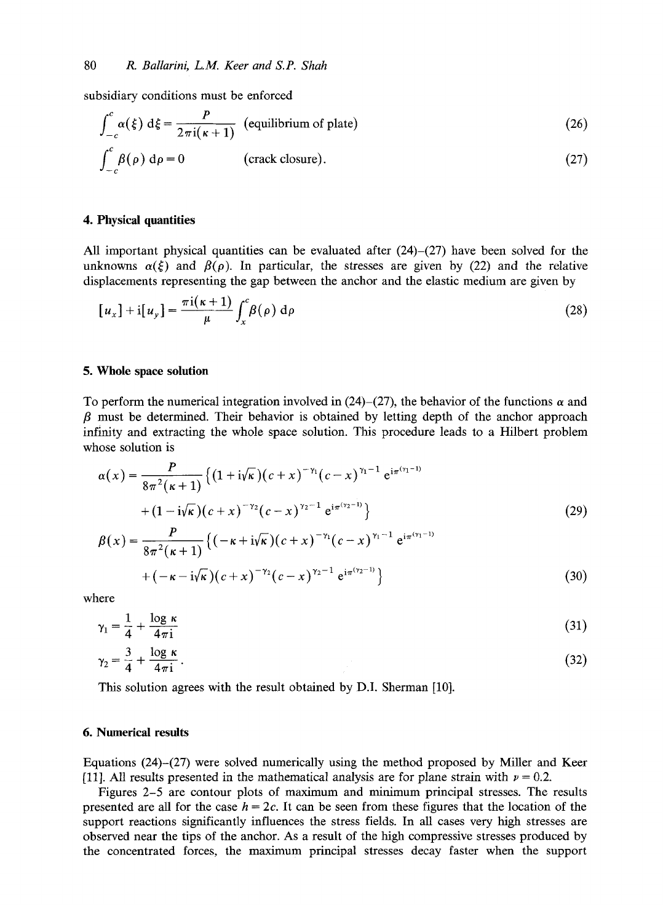subsidiary conditions must be enforced

$$
\int_{-c}^{c} \alpha(\xi) d\xi = \frac{P}{2\pi i(\kappa + 1)}
$$
 (equilibrium of plate) \t(26)  

$$
\int_{-c}^{c} \beta(\rho) d\rho = 0
$$
 (crack closure). \t(27)

#### **4. Physical quantities**

All important physical quantities can be evaluated after  $(24)$ – $(27)$  have been solved for the unknowns  $\alpha(\xi)$  and  $\beta(\rho)$ . In particular, the stresses are given by (22) and the relative displacements representing the gap between the anchor and the elastic medium are given by

$$
[u_x] + i[u_y] = \frac{\pi i(\kappa + 1)}{\mu} \int_x^c \beta(\rho) d\rho
$$
 (28)

## **5. Whole space solution**

To perform the numerical integration involved in (24)–(27), the behavior of the functions  $\alpha$  and  $\beta$  must be determined. Their behavior is obtained by letting depth of the anchor approach infinity and extracting the whole space solution. This procedure leads to a Hilbert problem whose solution is

$$
\alpha(x) = \frac{P}{8\pi^2(\kappa + 1)} \left\{ (1 + i\sqrt{\kappa})(c + x)^{-\gamma_1}(c - x)^{\gamma_1 - 1} e^{i\pi^{(\gamma_1 - 1)}}
$$
  
 
$$
+ (1 - i\sqrt{\kappa})(c + x)^{-\gamma_2}(c - x)^{\gamma_2 - 1} e^{i\pi^{(\gamma_2 - 1)}}
$$
  
\n
$$
\beta(x) = \frac{P}{8\pi^2(\kappa + 1)} \left\{ (-\kappa + i\sqrt{\kappa})(c + x)^{-\gamma_1}(c - x)^{\gamma_1 - 1} e^{i\pi^{(\gamma_1 - 1)}}
$$
\n(29)

where

$$
\gamma_1 = \frac{1}{4} + \frac{\log \kappa}{4\pi i} \tag{31}
$$

 $+(-\kappa-i\sqrt{\kappa})(c+x)^{-\gamma_2}(c-x)^{\gamma_2-1}e^{i\pi(\gamma_2-1)}$  } (30)

$$
\gamma_2 = \frac{3}{4} + \frac{\log \kappa}{4\pi i} \,. \tag{32}
$$

This solution agrees with the result obtained by D.I. Sherman [10].

## **6. Numerical results**

Equations (24)-(27) were solved numerically using the method proposed by Miller and Keer [11]. All results presented in the mathematical analysis are for plane strain with  $\nu = 0.2$ .

Figures 2-5 are contour plots of maximum and minimum principal stresses. The results presented are all for the case  $h = 2c$ . It can be seen from these figures that the location of the support reactions significantly influences the stress fields. In all cases very high stresses are observed near the tips of the anchor. As a result of the high compressive stresses produced by the concentrated forces, the maximum principal stresses decay faster when the support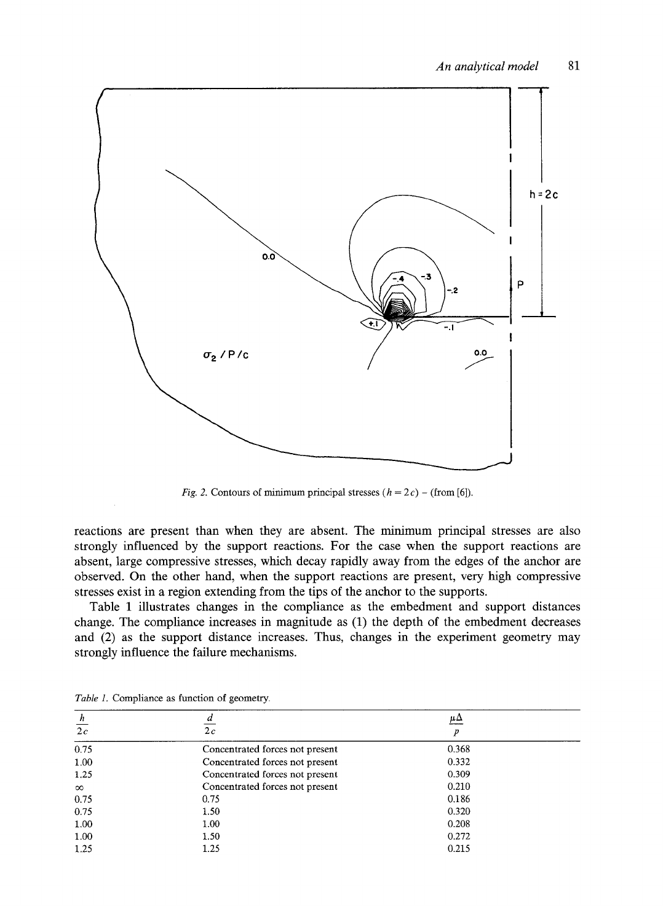

*Fig. 2.* Contours of minimum principal stresses  $(h = 2c)$  – (from [6]).

**reactions are present than when they are absent. The minimum principal stresses are also strongly influenced by the support reactions. For the case when the support reactions are absent, large compressive stresses, which decay rapidly away from the edges of the anchor are observed. On the other hand, when the support reactions are present, very high compressive stresses exist in a region extending from the tips of the anchor to the supports.** 

**Table 1 illustrates changes in the compliance as the embedment and support distances change. The compliance increases in magnitude as (1) the depth of the embedment decreases and (2) as the support distance increases. Thus, changes in the experiment geometry may strongly influence the failure mechanisms.** 

| h        | a                               | $\mu \Delta$ |
|----------|---------------------------------|--------------|
| 2c       | 2c                              | Р            |
| 0.75     | Concentrated forces not present | 0.368        |
| 1.00     | Concentrated forces not present | 0.332        |
| 1.25     | Concentrated forces not present | 0.309        |
| $\infty$ | Concentrated forces not present | 0.210        |
| 0.75     | 0.75                            | 0.186        |
| 0.75     | 1.50                            | 0.320        |
| 1.00     | 1.00                            | 0.208        |
| 1.00     | 1.50                            | 0.272        |
| 1.25     | 1.25                            | 0.215        |

*Table 1.* **Compliance as function of geometry.**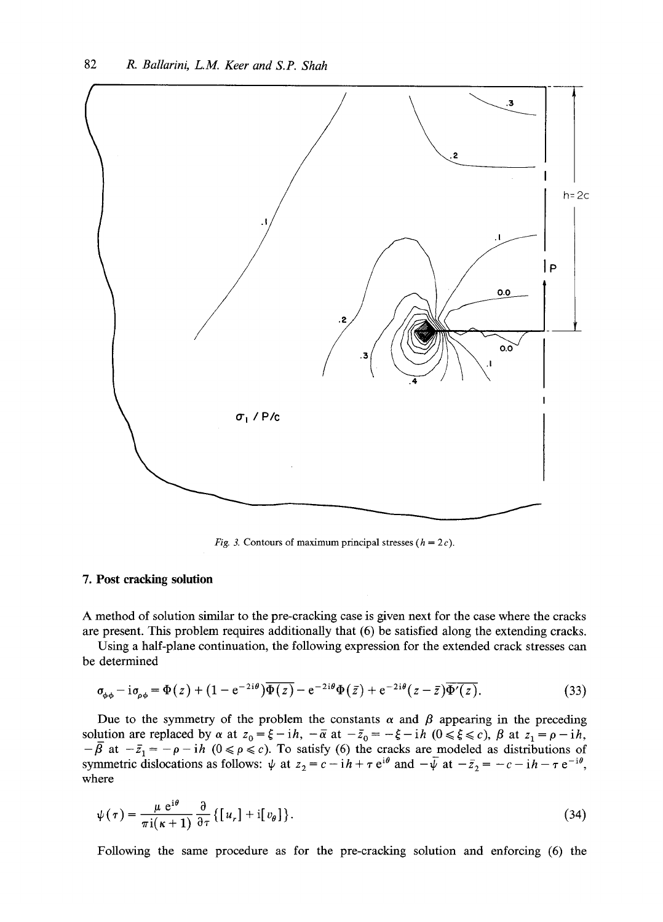

*Fig. 3.* Contours of maximum principal stresses  $(h = 2c)$ .

## **7. Post cracking solution**

A method of solution similar to the pre-cracking case is given next for the case where the cracks are present. This problem requires additionally that (6) be satisfied along the extending cracks.

Using a half-plane continuation, the following expression for the extended crack stresses can be determined

$$
\sigma_{\phi\phi} - i\sigma_{\rho\phi} = \Phi(z) + (1 - e^{-2i\theta})\overline{\Phi(z)} - e^{-2i\theta}\Phi(\bar{z}) + e^{-2i\theta}(z - \bar{z})\overline{\Phi'(z)}.
$$
\n(33)

Due to the symmetry of the problem the constants  $\alpha$  and  $\beta$  appearing in the preceding solution are replaced by  $\alpha$  at  $z_0 = \xi - i\hbar$ ,  $-\overline{\alpha}$  at  $-\overline{z}_0 = -\xi - i\hbar$   $(0 \le \xi \le c)$ ,  $\beta$  at  $z_1 = \rho - i\hbar$ ,  $-\beta$  at  $-\bar{z}_1 = -\rho - i\hbar$   $(0 \le \rho \le c)$ . To satisfy (6) the cracks are modeled as distributions of symmetric dislocations as follows:  $\psi$  at  $z_2 = c - ih + \tau e^{i\theta}$  and  $-\psi$  at  $-\bar{z}_2 = -c - ih - \tau e^{-i\theta}$ , where

$$
\psi(\tau) = \frac{\mu e^{i\theta}}{\pi i(\kappa + 1)} \frac{\partial}{\partial \tau} \{ [u_r] + i[v_\theta] \}.
$$
\n(34)

Following the same procedure as for the pre-cracking solution and enforcing (6) the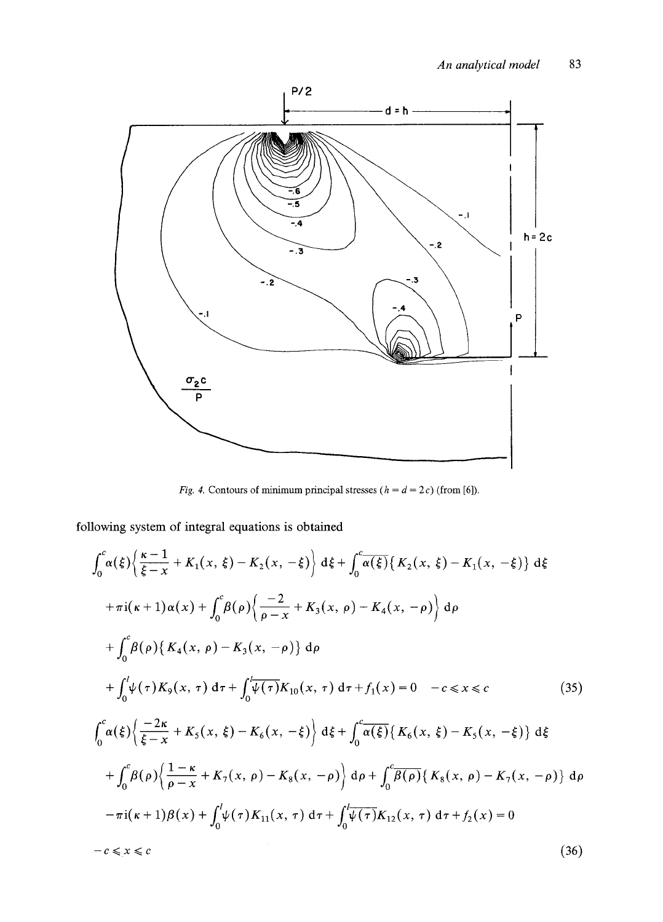

*Fig. 4.* Contours of minimum principal stresses ( $h = d = 2c$ ) (from [6]).

following system of integral equations is obtained

$$
\int_{0}^{c} \alpha(\xi) \left\{ \frac{\kappa - 1}{\xi - x} + K_{1}(x, \xi) - K_{2}(x, -\xi) \right\} d\xi + \int_{0}^{c} \overline{\alpha(\xi)} \left\{ K_{2}(x, \xi) - K_{1}(x, -\xi) \right\} d\xi
$$
  
+  $\pi i(\kappa + 1) \alpha(x) + \int_{0}^{c} \beta(\rho) \left\{ \frac{-2}{\rho - x} + K_{3}(x, \rho) - K_{4}(x, -\rho) \right\} d\rho$   
+  $\int_{0}^{c} \beta(\rho) \left\{ K_{4}(x, \rho) - K_{3}(x, -\rho) \right\} d\rho$   
+  $\int_{0}^{l} \psi(\tau) K_{9}(x, \tau) d\tau + \int_{0}^{l} \overline{\psi(\tau)} K_{10}(x, \tau) d\tau + f_{1}(x) = 0 \quad -c \le x \le c$  (35)  

$$
\int_{0}^{c} \alpha(\xi) \left\{ \frac{-2\kappa}{\xi - x} + K_{5}(x, \xi) - K_{6}(x, -\xi) \right\} d\xi + \int_{0}^{c} \overline{\alpha(\xi)} \left\{ K_{6}(x, \xi) - K_{5}(x, -\xi) \right\} d\xi
$$
  
+  $\int_{0}^{c} \beta(\rho) \left\{ \frac{1 - \kappa}{\rho - x} + K_{7}(x, \rho) - K_{8}(x, -\rho) \right\} d\rho + \int_{0}^{c} \overline{\beta(\rho)} \left\{ K_{8}(x, \rho) - K_{7}(x, -\rho) \right\} d\rho$   
-  $\pi i(\kappa + 1) \beta(x) + \int_{0}^{l} \psi(\tau) K_{11}(x, \tau) d\tau + \int_{0}^{l} \overline{\psi(\tau)} K_{12}(x, \tau) d\tau + f_{2}(x) = 0$   
-  $c \le x \le c$  (36)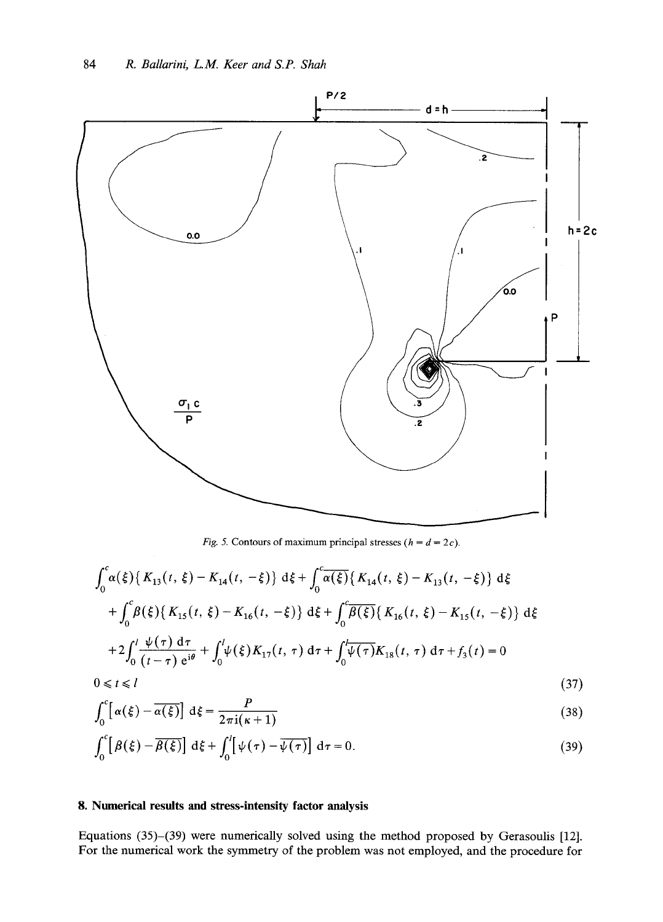

*Fig. 5.* Contours of maximum principal stresses ( $h = d = 2c$ ).

$$
\int_{0}^{c} \alpha(\xi) \{ K_{13}(t, \xi) - K_{14}(t, -\xi) \} d\xi + \int_{0}^{c} \overline{\alpha(\xi)} \{ K_{14}(t, \xi) - K_{13}(t, -\xi) \} d\xi
$$
  
+ 
$$
\int_{0}^{c} \beta(\xi) \{ K_{15}(t, \xi) - K_{16}(t, -\xi) \} d\xi + \int_{0}^{c} \overline{\beta(\xi)} \{ K_{16}(t, \xi) - K_{15}(t, -\xi) \} d\xi
$$
  
+ 
$$
2 \int_{0}^{l} \frac{\psi(\tau) d\tau}{(t - \tau) e^{i\theta}} + \int_{0}^{l} \psi(\xi) K_{17}(t, \tau) d\tau + \int_{0}^{l} \overline{\psi(\tau)} K_{18}(t, \tau) d\tau + f_{3}(t) = 0
$$
  
0 \le t \le l \qquad (37)

$$
\int_0^c \left[ \alpha(\xi) - \overline{\alpha(\xi)} \right] d\xi = \frac{P}{2\pi i(\kappa + 1)}\tag{38}
$$

$$
\int_0^c \left[ \beta(\xi) - \overline{\beta(\xi)} \right] d\xi + \int_0^l \left[ \psi(\tau) - \overline{\psi(\tau)} \right] d\tau = 0.
$$
 (39)

## **8. Numerical results and stress-intensity factor analysis**

Equations (35)-(39) were numerically solved using the method proposed by Gerasoulis [12]. For the numerical work the symmetry of the problem was not employed, and the procedure for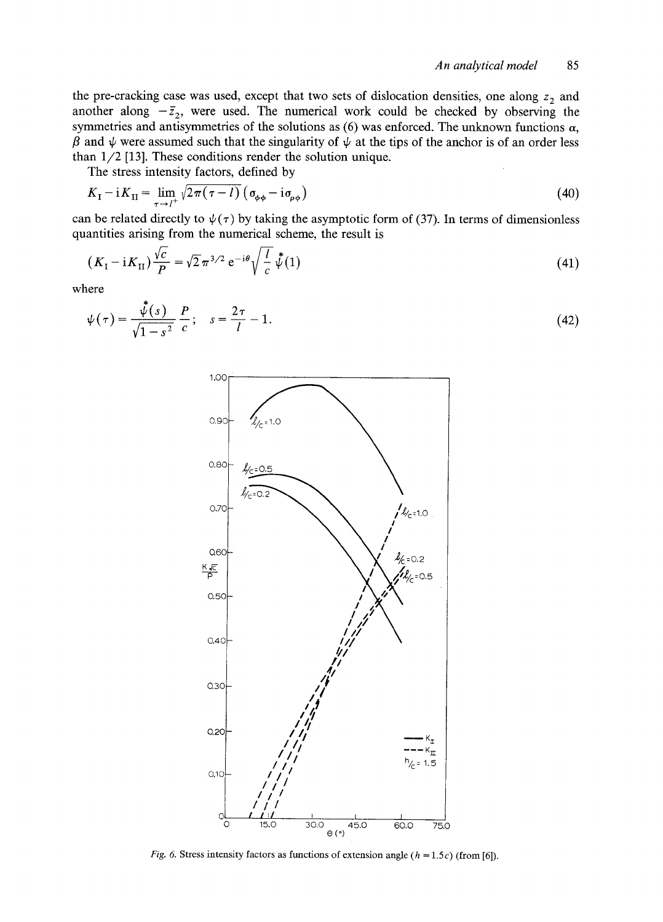the pre-cracking case was used, except that two sets of dislocation densities, one along  $z_2$  and another along  $-\bar{z}_2$ , were used. The numerical work could be checked by observing the symmetries and antisymmetries of the solutions as (6) was enforced. The unknown functions  $\alpha$ ,  $\beta$  and  $\psi$  were assumed such that the singularity of  $\psi$  at the tips of the anchor is of an order less than 1/2 [13]. These conditions render the solution unique.

The stress intensity factors, defined by

$$
K_{\rm I} - iK_{\rm II} = \lim_{\tau \to l^{+}} \sqrt{2\pi (\tau - l)} \left( \sigma_{\phi\phi} - i\sigma_{\rho\phi} \right) \tag{40}
$$

can be related directly to  $\psi(\tau)$  by taking the asymptotic form of (37). In terms of dimensionless quantities arising from the numerical scheme, the result is

$$
(K_{\rm I} - iK_{\rm II})\frac{\sqrt{c}}{P} = \sqrt{2}\pi^{3/2} e^{-i\theta} \sqrt{\frac{l}{c}} \stackrel{*}{\psi} (1)
$$
 (41)

where

$$
\psi(\tau) = \frac{\sqrt[4]{(s)}}{\sqrt{1 - s^2}} \frac{P}{c}; \quad s = \frac{2\tau}{l} - 1.
$$
\n(42)



*Fig. 6.* Stress intensity factors as functions of extension angle  $(h = 1.5c)$  (from [6]).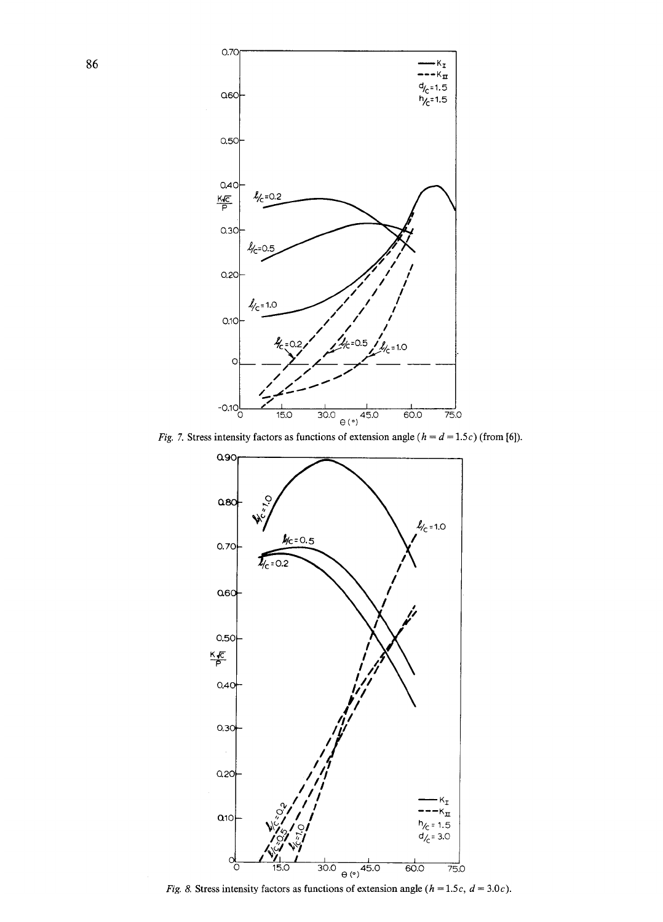

Fig. 7. Stress intensity factors as functions of extension angle ( $h = d = 1.5c$ ) (from [6]).



Fig. 8. Stress intensity factors as functions of extension angle ( $h = 1.5c$ ,  $d = 3.0c$ ).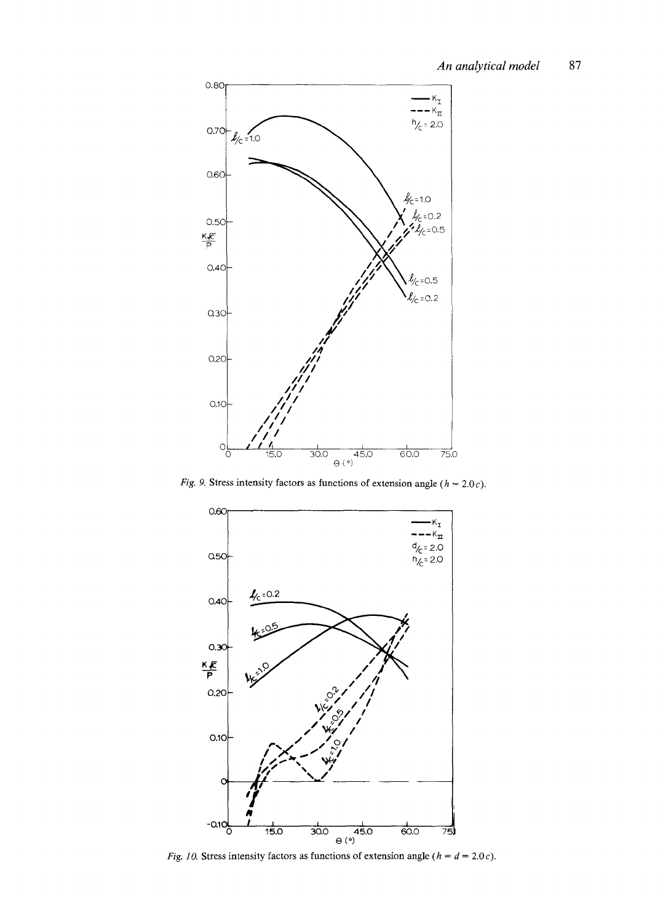

*Fig. 9.* Stress intensity factors as functions of extension angle ( $h = 2.0c$ ).



*Fig. 10.* Stress intensity factors as functions of extension angle ( $h = d = 2.0c$ ).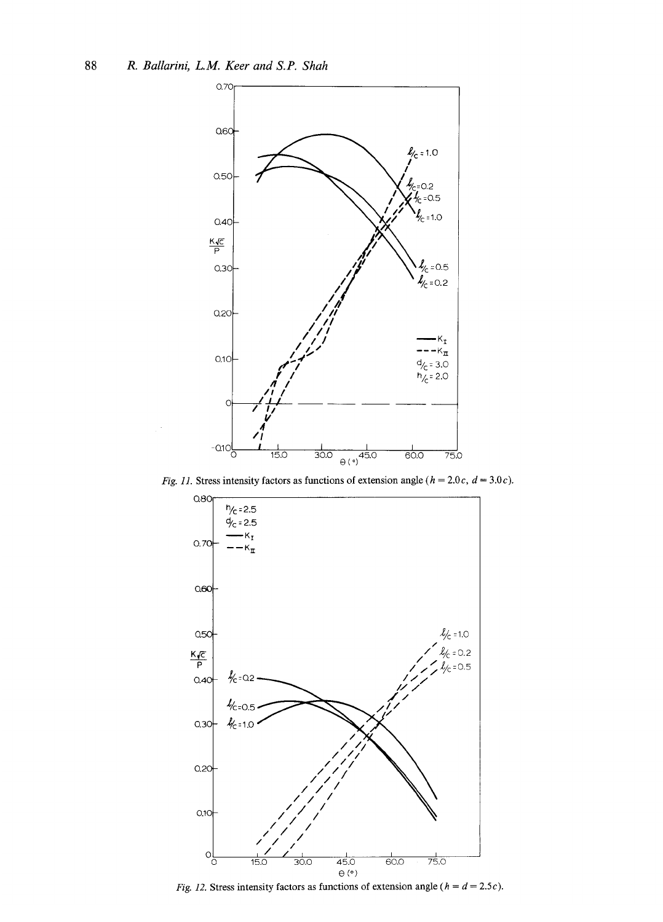

Fig. 11. Stress intensity factors as functions of extension angle ( $h = 2.0c$ ,  $d = 3.0c$ ).



Fig. 12. Stress intensity factors as functions of extension angle ( $h = d = 2.5c$ ).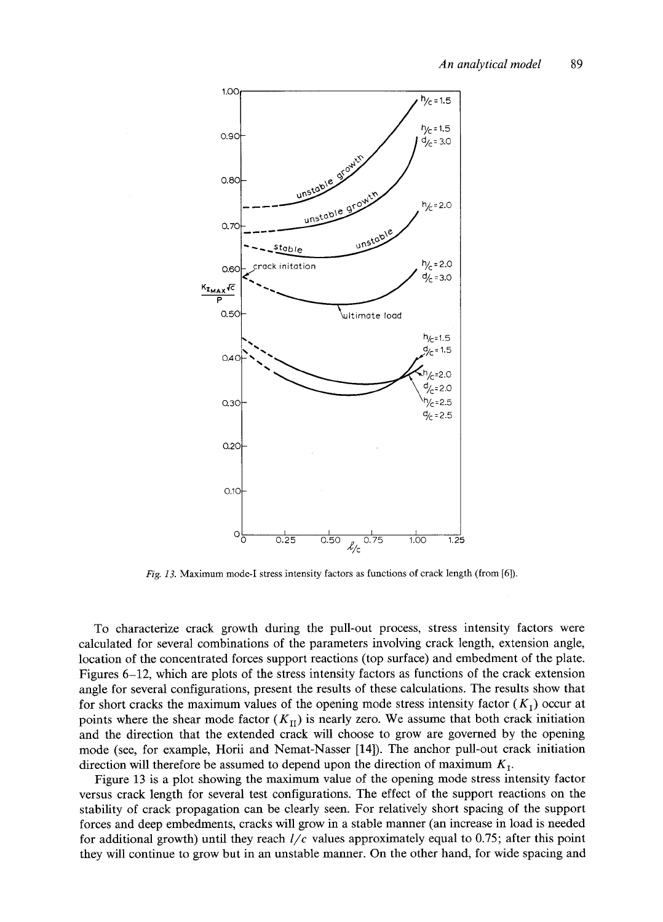

*Fig. 13.* Maximum mode-I stress intensity factors as functions of crack length (from [6]).

To characterize crack growth during the pull-out process, stress intensity factors were calculated for several combinations of the parameters involving crack length, extension angle, location of the concentrated forces support reactions (top surface) and embedment of the plate. Figures 6-12, which are plots of the stress intensity factors as functions of the crack extension angle for several configurations, present the results of these calculations. The results show that for short cracks the maximum values of the opening mode stress intensity factor  $(K_I)$  occur at points where the shear mode factor  $(K_{II})$  is nearly zero. We assume that both crack initiation and the direction that the extended crack will choose to grow are governed by the opening mode (see, for example, Horii and Nemat-Nasser [14]). The anchor pull-out crack initiation direction will therefore be assumed to depend upon the direction of maximum  $K_{\text{I}}$ .

Figure 13 is a plot showing the maximum value of the opening mode stress intensity factor versus crack length for several test configurations. The effect of the support reactions on the stability of crack propagation can be clearly seen. For relatively short spacing of the support forces and deep embedments, cracks will grow in a stable manner (an increase in load is needed for additional growth) until they reach *l/c* values approximately equal to 0.75; after this point they will continue to grow but in an unstable manner. On the other hand, for wide spacing and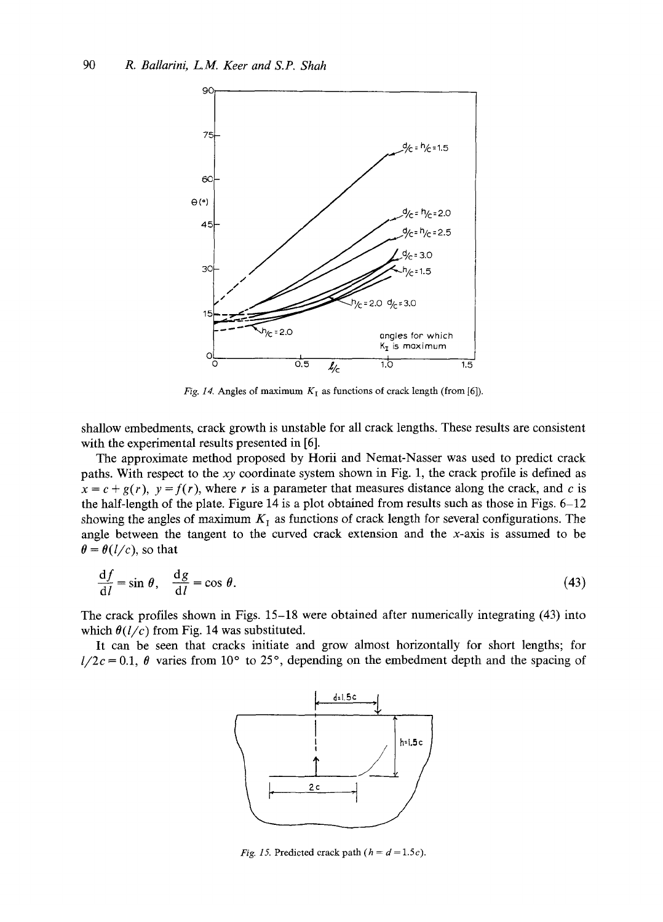

*Fig. 14.* Angles of maximum  $K_I$  as functions of crack length (from [6]).

shallow embedments, crack growth is unstable for all crack lengths. These results are consistent with the experimental results presented in [6].

The approximate method proposed by Horii and Nemat-Nasser was used to predict crack paths. With respect to the *xy* coordinate system shown in Fig. 1, the crack profile is defined as  $x = c + g(r)$ ,  $y = f(r)$ , where r is a parameter that measures distance along the crack, and c is the half-length of the plate. Figure 14 is a plot obtained from results such as those in Figs. 6-12 showing the angles of maximum  $K<sub>I</sub>$  as functions of crack length for several configurations. The angle between the tangent to the curved crack extension and the x-axis is assumed to be  $\theta = \theta(l/c)$ , so that

$$
\frac{\mathrm{d}f}{\mathrm{d}l} = \sin \theta, \quad \frac{\mathrm{d}g}{\mathrm{d}l} = \cos \theta. \tag{43}
$$

The crack profiles shown in Figs. 15-18 were obtained after numerically integrating (43) into which  $\theta(l/c)$  from Fig. 14 was substituted.

It can be seen that cracks initiate and grow almost horizontally for short lengths; for  $l/2c = 0.1$ ,  $\theta$  varies from 10° to 25°, depending on the embedment depth and the spacing of



*Fig. 15.* Predicted crack path  $(h = d = 1.5c)$ .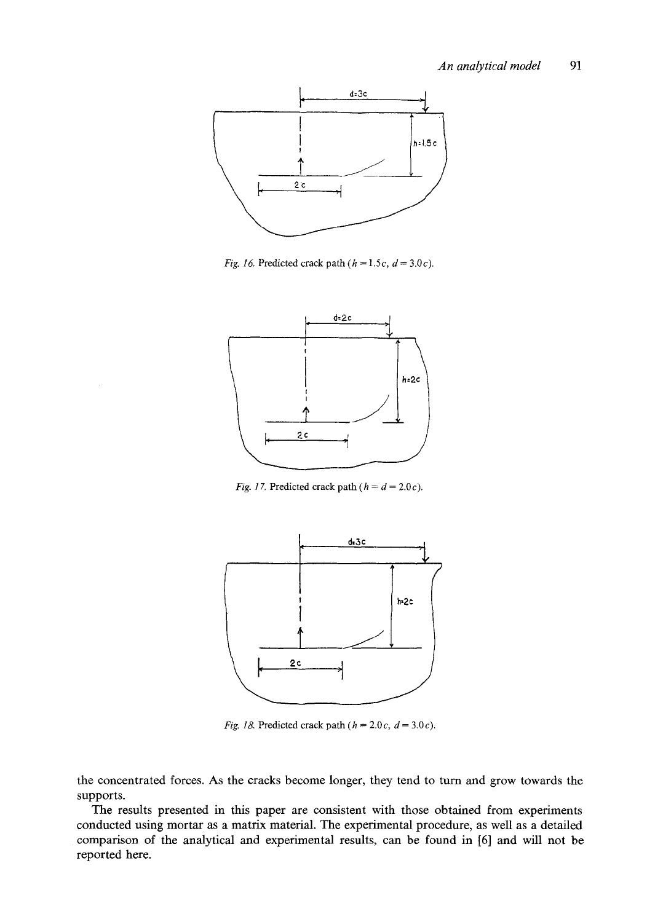

*Fig. 16.* Predicted crack path  $(h = 1.5c, d = 3.0c)$ .



*Fig. 17.* Predicted crack path ( $h = d = 2.0c$ ).



*Fig. 18.* Predicted crack path  $(h = 2.0c, d = 3.0c)$ .

the concentrated forces. As the cracks become longer, they tend to turn and grow towards the supports.

The results presented in this paper are consistent with those obtained from experiments conducted using mortar as a matrix material. The experimental procedure, as well as a detailed comparison of the analytical and experimental results, can be found in [6] and will not be reported here.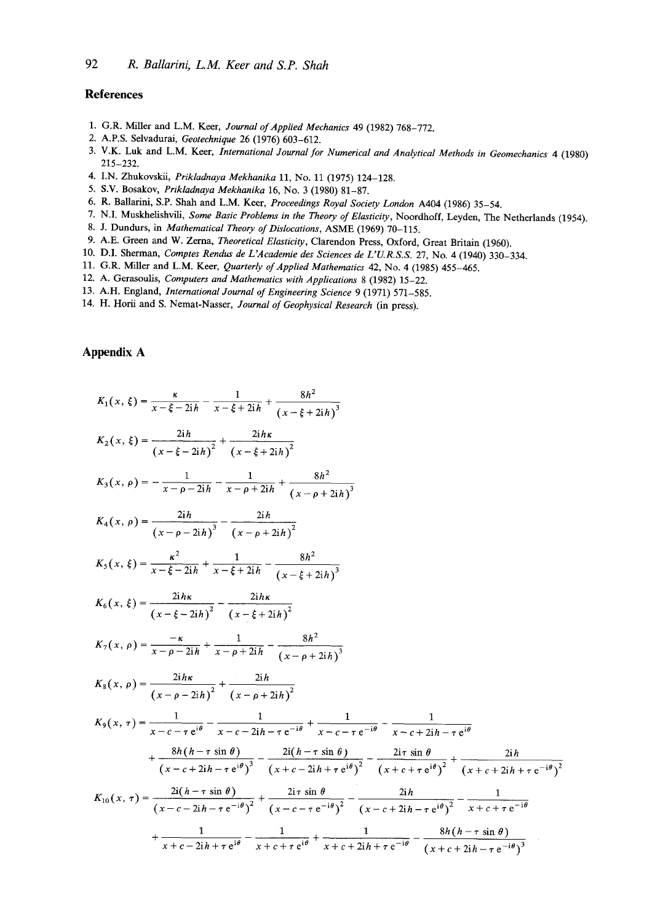### **References**

- 1. G.R. Miller and L.M. Keer, *Journal of Applied Mechanics* 49 (1982) 768-772.
- 2. A.P.S. Selvadurai, *Geotechnique* 26 (1976) 603-612.
- 3. V.K. Luk and L.M. Keer, *International Journal for Numerical and Analytical Methods in Geomechanics* 4 (1980) 215-232.
- 4. I.N. Zhukovskii, *Prikladnaya Mekhanika* 11, No. 11 (1975) 124-128.
- 5. S.V. Bosakov, *Prikladnaya Mekhanika* 16, No. 3 (1980) 81-87.
- 6. R. Ballarini, S.P. Shah and L.M. Keer, *Proceedings Royal Society London* A404 (1986) 35-54.
- 7. N,I. Muskhelishvifi, *Some Basic Problems in the Theory of Elasticity,* Noordhoff, Leyden, The Netherlands (1954).
- 8. J. Dundurs, in *Mathematical Theory of Dislocations,* ASME (1969) 70-115.
- 9. A.E. Green and W. Zema, *Theoretical Elasticity,* Clarendon Press, Oxford, Great Britain (1960).
- 10. D.I. Sherman, *Comptes Rendus de L'Academie des Sciences de L'U.R.S.S.* 27, No. 4 (1940) 330-334.
- 11. G.R. Miller and L.M. Keer, *Quarterly of Applied Mathematics* 42, No. 4 (1985) 455-465.
- 12. A. Gerasoulis, *Computers and Mathematics with Applications* 8 (1982) 15-22.
- 13. A.H. England, *International Journal of Engineering Science* 9 (1971) 571-585.
- 14. H. Horii and S. Nemat-Nasser, *Journal of Geophysical Research (in* press).

## **Appendix A**

| $K_1(x, \xi) = \frac{\kappa}{x - \xi - 2ih} - \frac{1}{x - \xi + 2ih} + \frac{8h^2}{(x - \xi + 2ih)^3}$                                                                                                                                    |
|--------------------------------------------------------------------------------------------------------------------------------------------------------------------------------------------------------------------------------------------|
| $K_2(x, \xi) = \frac{2i\hbar}{(x - \xi - 2i\hbar)^2} + \frac{2i\hbar\kappa}{(x - \xi + 2i\hbar)^2}$                                                                                                                                        |
| $K_3(x, \rho) = -\frac{1}{x - \rho - 2ih} - \frac{1}{x - \rho + 2ih} + \frac{8h^2}{(x - \rho + 2ih)^3}$                                                                                                                                    |
| $K_4(x, \rho) = \frac{21h}{(x - \rho - 2ih)^3} - \frac{21h}{(x - \rho + 2ih)^2}$                                                                                                                                                           |
| $K_5(x, \xi) = \frac{\kappa^2}{x - \xi - 2i\hbar} + \frac{1}{x - \xi + 2i\hbar} - \frac{8\hbar^2}{(x - \xi + 2i\hbar)^3}$                                                                                                                  |
| $K_6(x, \xi) = \frac{2h\kappa}{(x-\xi-2ih)^2} - \frac{2h\kappa}{(x-\xi+2ih)^2}$                                                                                                                                                            |
| $K_7(x, \rho) = \frac{-\kappa}{x - \rho - 2ih} + \frac{1}{x - \rho + 2ih} - \frac{8h^2}{(x - \rho + 2ih)^3}$                                                                                                                               |
| $K_8(x, \rho) = \frac{2ih\kappa}{(x-a-2ih)^2} + \frac{2ih}{(x-a+2ih)^2}$                                                                                                                                                                   |
| $K_9(x, \tau) = \frac{1}{x - c - \tau e^{i\theta}} - \frac{1}{x - c - 2i\theta - \tau e^{-i\theta}} + \frac{1}{x - c - \tau e^{-i\theta}} - \frac{1}{x - c + 2i\theta - \tau e^{i\theta}}$                                                 |
| $+\frac{8h(h-\tau \sin \theta)}{(x-c+2ih-\tau e^{i\theta})^3}-\frac{2i(h-\tau \sin \theta)}{(x+c-2ih+\tau e^{i\theta})^2}-\frac{2i\tau \sin \theta}{(x+c+\tau e^{i\theta})^2}+\frac{2ih}{(x+c+2ih+\tau e^{-i\theta})^2}$                   |
| $K_{10}(x, \tau) = \frac{2i(h - \tau \sin \theta)}{(x - c - 2ih - \tau e^{-i\theta})^2} + \frac{2i\tau \sin \theta}{(x - c - \tau e^{-i\theta})^2} - \frac{2ih}{(x - c + 2ih - \tau e^{i\theta})^2} - \frac{1}{x + c + \tau e^{-i\theta}}$ |
| $+\frac{1}{x+c-2ih+\tau e^{i\theta}}-\frac{1}{x+c+\tau e^{i\theta}}+\frac{1}{x+c+2ih+\tau e^{-i\theta}}-\frac{8h(h-\tau \sin \theta)}{(x+c+2ih-\tau e^{-i\theta})^3}$                                                                      |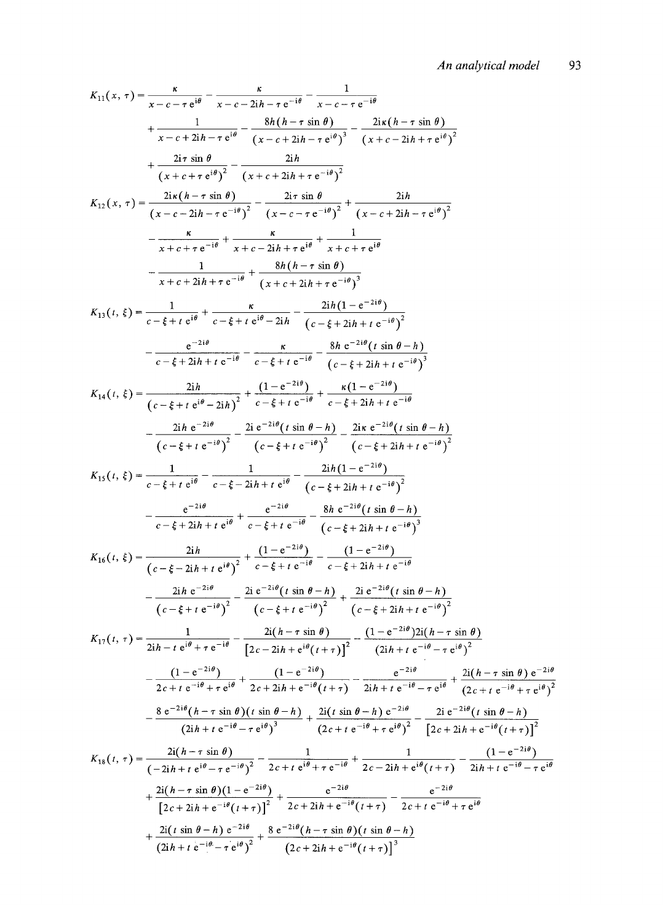$$
K_{11}(x, \tau) = \frac{\kappa}{x - c - \tau e^{i\theta}} - \frac{\kappa}{x - c - 2i\hbar - \tau e^{-i\theta}} - \frac{1}{x - c - \tau e^{-i\theta}} + \frac{8h(h - \tau \sin \theta)}{(x - c + 2i\hbar - \tau e^{i\theta})^2} - \frac{2i\kappa(h - \tau \sin \theta)}{(x + c - 2i\hbar + \tau e^{-i\theta})^2} + \frac{2i\kappa(h - \tau \sin \theta)}{(x + c + 2i\hbar + \tau e^{-i\theta})^2} - \frac{2i\kappa(h - \tau \sin \theta)}{(x + c - 2i\hbar + \tau e^{-i\theta})^2} - \frac{2i\kappa(h - \tau \sin \theta)}{(x - c + 2i\hbar + \tau e^{-i\theta})^2} - \frac{2i\kappa(h - \tau \sin \theta)}{(x - c - \tau e^{-i\theta})^2} - \frac{2i\kappa(h - \tau \sin \theta)}{(x - c - \tau e^{-i\theta})^2} - \frac{2i\kappa(h - \tau \sin \theta)}{(x - c + 2i\hbar + \tau e^{-i\theta})} - \frac{\kappa}{x + c + \tau e^{-i\theta}} + \frac{1}{x + c - 2i\hbar + \tau e^{i\theta}} - \frac{2i\hbar(h - \tau \sin \theta)}{(x + c + 2i\hbar + \tau e^{-i\theta})^2} - \frac{\kappa}{x + c + 2i\hbar + \tau e^{-i\theta}} + \frac{8h(h - \tau \sin \theta)}{(x + c + 2i\hbar + \tau e^{-i\theta})^2} - \frac{2i\kappa(1 - e^{-2i\theta})}{(x - \xi + 2i\hbar + \tau e^{-i\theta})^2} - \frac{2i\kappa(1 - e^{-2i\theta})}{(x - \xi + 2i\hbar + \tau e^{-i\theta})^2} - \frac{2i\hbar(1 - e^{-2i\theta})}{(x - \xi + 2i\hbar + \tau e^{-i\theta})^2} - \frac{2i\hbar(1 - e^{-2i\theta})}{(x - \xi + 2i\hbar + \tau e^{-i\theta})^2} - \frac{2i\hbar(1 - e^{-2i\theta})}{(x - \xi + 2i\hbar + \tau e^{-i\theta})^2} - \frac{2i\h
$$